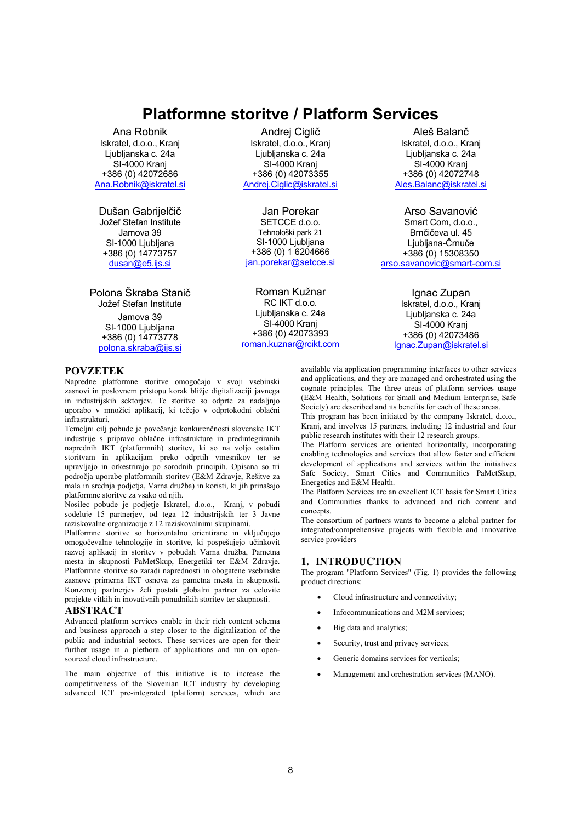# **Platformne storitve / Platform Services**

Ana Robnik Iskratel, d.o.o., Kranj Liublianska c. 24a SI-4000 Kranj +386 (0) 42072686 Ana.Robnik@iskratel.si

Dušan Gabrijelčič Jožef Stefan Institute Jamova 39 SI-1000 Ljubljana +386 (0) 14773757  $d$ usan $@e5$ .ijs.si

Polona Škraba Stanič Jožef Stefan Institute Jamova 39 SI-1000 Ljubljana +386 (0) 14773778 polona.skraba@ijs.si

Andrej Ciglič Iskratel, d.o.o., Kranj Liublianska c. 24a SI-4000 Krani +386 (0) 42073355 Andrej.Ciglic@iskratel.si

Jan Porekar SETCCE d.o.o. Tehnološki park 21 SI-1000 Ljubljana +386 (0) 1 6204666 jan.porekar@setcce.si

Roman Kužnar RC IKT d.o.o. Ljubljanska c. 24a SI-4000 Krani +386 (0) 42073393 roman.kuznar@rcikt.com

Aleš Balanč Iskratel, d.o.o., Krani Liublianska c. 24a SI-4000 Kranj +386 (0) 42072748 Ales.Balanc@iskratel.si

Arso Savanović Smart Com. d.o.o.. Brnčičeva ul. 45 Ljubljana-Črnuče +386 (0) 15308350 arso savanovic@smart-com si

> Ignac Zupan Iskratel, d.o.o., Kranj Ljubljanska c. 24a SI-4000 Kranj +386 (0) 42073486 lgnac.Zupan@iskratel.si

## **POVZETEK**

Napredne platformne storitve omogočajo v svoji vsebinski zasnovi in poslovnem pristopu korak bližje digitalizaciji javnega in industrijskih sektorjev. 7e storitve so odprte za nadaljnjo uporabo v množici aplikacij, ki tečejo v odprtokodni oblačni infrastrukturi.

7emeljni cilj pobude je povečanje konkurenčnosti slovenske IK7 industrije s pripravo oblačne infrastrukture in predintegriranih naprednih IKT (platformnih) storitev, ki so na voljo ostalim storitvam in aplikacijam preko odprtih vmesnikov ter se upravljajo in orkestrirajo po sorodnih principih. Opisana so tri področja uporabe platformnih storitev (E&M Zdravje, Rešitve za mala in srednja podjetja, Varna družba) in koristi, ki jih prinašajo platformne storitve za vsako od njih.

1osilec pobude je podjetje Iskratel, d.o.o., Kranj, v pobudi sodeluje 15 partnerjev, od tega 12 industrijskih ter 3 Javne raziskovalne organizacije z 12 raziskovalnimi skupinami.

Platformne storitve so horizontalno orientirane in vključujejo omogočevalne tehnologije in storitve, ki pospešujejo učinkovit razvoj aplikacij in storitev v pobudah Varna družba, Pametna mesta in skupnosti PaMetSkup, Energetiki ter E&M Zdravje. Platformne storitve so zaradi naprednosti in obogatene vsebinske zasnove primerna IK7 osnova za pametna mesta in skupnosti. Konzorcij partnerjev želi postati globalni partner za celovite projekte vitkih in inovativnih ponudnikih storitev ter skupnosti.

#### **ABSTRACT**

Advanced platform services enable in their rich content schema and business approach a step closer to the digitalization of the public and industrial sectors. 7hese services are open for their further usage in a plethora of applications and run on opensourced cloud infrastructure.

7he main objective of this initiative is to increase the competitiveness of the Slovenian ICT industry by developing advanced ICT pre-integrated (platform) services, which are available via application programming interfaces to other services and applications, and they are managed and orchestrated using the cognate principles. The three areas of platform services usage (E&M Health, Solutions for Small and Medium Enterprise, Safe Society) are described and its benefits for each of these areas.

This program has been initiated by the company Iskratel, d.o.o., Kranj, and involves 15 partners, including 12 industrial and four public research institutes with their 12 research groups.

<sup>1</sup><br>The Platform services are oriented horizontally, incorporating enabling technologies and services that allow faster and efficient development of applications and services within the initiatives Safe Society, Smart Cities and Communities PaMetSkup, Energetics and E&M Health.

The Platform Services are an excellent ICT basis for Smart Cities and Communities thanks to advanced and rich content and concepts.

The consortium of partners wants to become a global partner for integrated/comprehensive projects with flexible and innovative service providers

## **1. INTRODUCTION**

The program "Platform Services" (Fig. 1) provides the following product directions:

- Cloud infrastructure and connectivity:
- Infocommunications and M2M services:
- Big data and analytics;
- Security, trust and privacy services;
- Generic domains services for verticals:
- Management and orchestration services (MANO).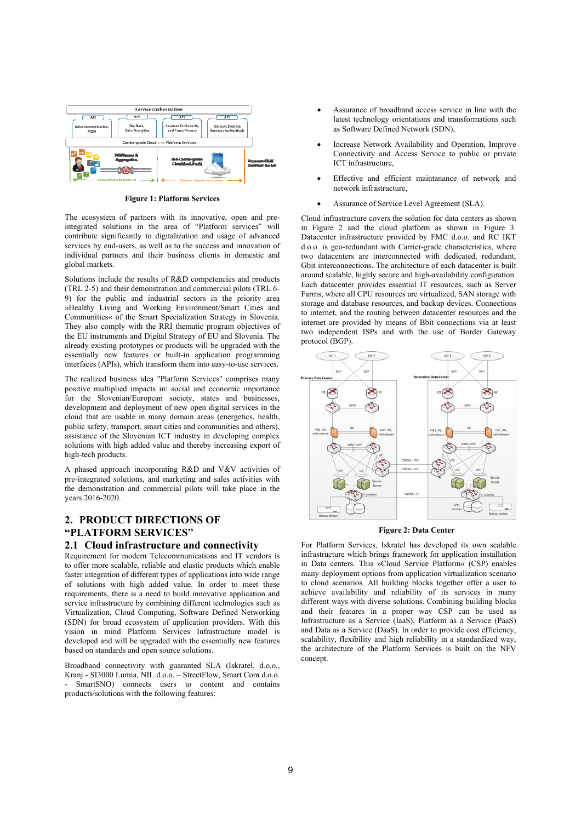

**Figure 1: Platform Services** 

The ecosystem of partners with its innovative, open and preintegrated solutions in the area of "Platform services" will contribute significantly to digitalization and usage of advanced services by end-users, as well as to the success and innovation of individual partners and their business clients in domestic and global markets.

Solutions include the results of R&D competencies and products (TRL 2-5) and their demonstration and commercial pilots (TRL 6-9) for the public and industrial sectors in the priority area »Healthy Living and Working Environment/Smart Cities and Communities« of the Smart Specialization Strategy in Slovenia. They also comply with the RRI thematic program objectives of the EU instruments and Digital Strategy of EU and Slovenia. The already existing prototypes or products will be upgraded with the essentially new features or built-in application programming interfaces (APIs), which transform them into easy-to-use services.

The realized business idea "Platform Services" comprises many positive multiplied impacts in: social and economic importance for the Slovenian/European society, states and businesses, development and deployment of new open digital services in the cloud that are usable in many domain areas (energetics, health, public safety, transport, smart cities and communities and others),  $a$ ssistance of the Slovenian ICT industry in developing complex solutions with high added value and thereby increasing export of high-tech products.

A phased approach incorporating R&D and V&V activities of pre-integrated solutions, and marketing and sales activities with the demonstration and commercial pilots will take place in the vears 2016-2020.

## **2. PRODUCT DIRECTIONS OF "PLATFORM SERVICES"**

## **Cloud infrastructure and connectivity**

Requirement for modern Telecommunications and IT vendors is to offer more scalable, reliable and elastic products which enable faster integration of different types of applications into wide range of solutions with high added value. In order to meet these requirements, there is a need to build innovative application and service infrastructure by combining different technologies such as Virtualization, Cloud Computing, Software Defined Networking (SDN) for broad ecosystem of application providers. With this vision in mind Platform Services Infrastructure model is developed and will be upgraded with the essentially new features based on standards and open source solutions.

Broadband connectivity with guaranted SLA (Iskratel, d.o.o., Kranj - SI3000 Lumia, NIL d.o.o. - StreetFlow, Smart Com d.o.o. SmartSNO) connects users to content and contains products/solutions with the following features:

- Assurance of broadband access service in line with the latest technology orientations and transformations such as Software Defined Network (SDN),
- Increase Network Availability and Operation, Improve Connectivity and Access Service to public or private ICT infrastructure,
- Effective and efficient maintanance of network and network infrastructure,
- Assurance of Service Level Agreement (SLA).

Cloud infrastructure covers the solution for data centers as shown in Figure 2 and the cloud platform as shown in Figure 3. Datacenter infrastructure provided by FMC d.o.o. and RC IKT d.o.o. is geo-redundant with Carrier-grade characteristics, where two datacenters are interconnected with dedicated, redundant, Gbit interconnections. The architecture of each datacenter is built around scalable, highly secure and high-availability configuration. Each datacenter provides essential I7 resources, such as Server Farms, where all CPU resources are virtualized, SAN storage with storage and database resources, and backup devices. Connections to internet, and the routing between datacenter resources and the internet are provided by means of Bbit connections via at least two independent ISPs and with the use of Border Gateway protocol (BGP).



#### **Figure 2: Data Center**

For Platform Services, Iskratel has developed its own scalable infrastructure which brings framework for application installation in Data centers. This »Cloud Service Platform« (CSP) enables many deployment options from application virtualization scenario to cloud scenarios. All building blocks together offer a user to achieve availability and reliability of its services in many different ways with diverse solutions. Combining building blocks and their features in a proper way CSP can be used as Infrastructure as a Service (IaaS), Platform as a Service (PaaS) and Data as a Service (DaaS). In order to provide cost efficiency, scalability, flexibility and high reliability in a standardized way, the architecture of the Platform Services is built on the NFV concept.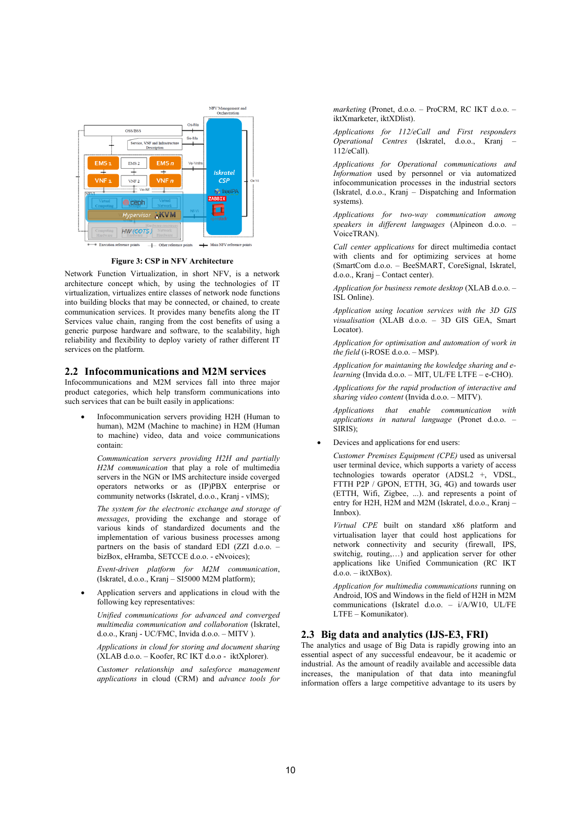

**Figure 3: CSP in NFV Architecture** 

Network Function Virtualization, in short NFV, is a network architecture concept which, by using the technologies of IT virtualization, virtualizes entire classes of network node functions into building blocks that may be connected, or chained, to create communication services. It provides many benefits along the IT Services value chain, ranging from the cost benefits of using a generic purpose hardware and software, to the scalability, high  $r$ eliability and flexibility to deploy variety of rather different IT services on the platform.

#### **2.2 Infocommunications and M2M services**

Infocommunications and M2M services fall into three major product categories, which help transform communications into such services that can be built easily in applications:

Infocommunication servers providing H2H (Human to human), M2M (Machine to machine) in H2M (Human to machine video, data and voice communications contain:

*Communication servers providing H2H and partially*  H2M communication that play a role of multimedia servers in the NGN or IMS architecture inside coverged operators networks or as (IP)PBX enterprise or community networks (Iskratel, d.o.o., Kranj - vIMS);

*The system for the electronic exchange and storage of messages*, providing the exchange and storage of various kinds of standardized documents and the implementation of various business processes among partners on the basis of standard EDI (ZZI d.o.o. bizBox, eHramba, SETCCE d.o.o. - eNvoices);

*Event-driven platform for M2M communication*,  $(Iskrate, d.o.o., Kranj - SI5000 M2M platform);$ 

Application servers and applications in cloud with the following key representatives:

*Unified communications for advanced and converged multimedia communication and collaboration* Iskratel, d.o.o., Kranj - UC/FMC, Invida d.o.o. - MITV ).

*Applications in cloud for storing and document sharing*  $(XLAB d.o.o. - Koofer, RCIKT d.o.o. - iktXplofer).$ 

*Customer relationship and salesforce management*  applications in cloud (CRM) and *advance tools for*  marketing (Pronet, d.o.o. - ProCRM, RC IKT d.o.o. iktXmarketer, iktXDlist).

*Applications for 112/eCall and First responders Operational Centres* Iskratel, d.o.o., Kranj ±  $112/eCall$ ).

*Applications for Operational communications and Information* used by personnel or via automatized infocommunication processes in the industrial sectors (Iskratel, d.o.o., Kranj  $-$  Dispatching and Information systems).

*Applications for two-way communication among speakers in different languages* Alpineon d.o.o. ± VoiceTRAN).

*Call center applications* for direct multimedia contact with clients and for optimizing services at home (SmartCom d.o.o. - BeeSMART, CoreSignal, Iskratel,  $d.o.o., Kranj - Contact center).$ 

*Application for business remote desktop* (XLAB d.o.o. – ISL Online).

*Application using location services with the 3D GIS*  visualisation (XLAB d.o.o. - 3D GIS GEA, Smart Locator).

*Application for optimisation and automation of work in*  the field (i-ROSE d.o.o. - MSP).

*Application for maintaning the kowledge sharing and e* $learning$  (Invida d.o.o.  $-$  MIT, UL/FE LTFE  $-$  e-CHO).

*Applications for the rapid production of interactive and*  sharing video content (Invida d.o.o. - MITV).

*Applications that enable communication with applications in natural language* (Pronet d.o.o. -SIRIS);

Devices and applications for end users:

*Customer Premises Equipment (CPE)* used as universal user terminal device, which supports a variety of access technologies towards operator  $(ADSL2 + VDSL)$ , FTTH P2P / GPON, ETTH, 3G, 4G) and towards user (ETTH, Wifi, Zigbee, ...). and represents a point of entry for H2H, H2M and M2M (Iskratel, d.o.o., Kranj -Innbox).

Virtual CPE built on standard x86 platform and virtualisation layer that could host applications for network connectivity and security (firewall, IPS, switchig, routing,...) and application server for other applications like Unified Communication  $(RC \,IKT)$  $d.o.o. - iktXBox).$ 

*Application for multimedia communications* running on Android,  $IOS$  and Windows in the field of  $H2H$  in M2M communications (Iskratel d.o.o.  $- i/A/W10$ , UL/FE LTFE - Komunikator).

## 2.3 Big data and analytics (IJS-E3, FRI)

The analytics and usage of Big Data is rapidly growing into an essential aspect of any successful endeavour, be it academic or industrial. As the amount of readily available and accessible data increases, the manipulation of that data into meaningful information offers a large competitive advantage to its users by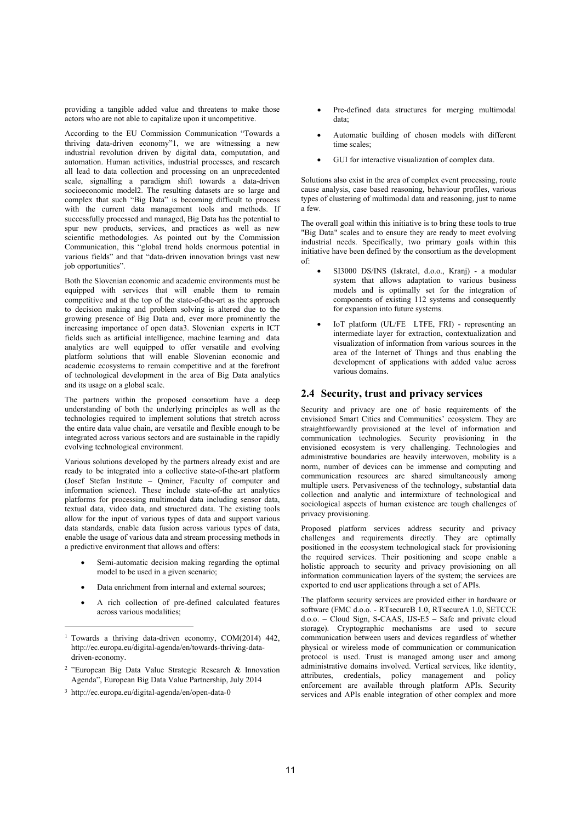providing a tangible added value and threatens to make those actors who are not able to capitalize upon it uncompetitive.

According to the EU Commission Communication "Towards a thriving data-driven economy"1, we are witnessing a new industrial revolution driven by digital data, computation, and automation. Human activities, industrial processes, and research all lead to data collection and processing on an unprecedented scale, signalling a paradigm shift towards a data-driven socioeconomic model2. The resulting datasets are so large and complex that such "Big Data" is becoming difficult to process with the current data management tools and methods. If successfully processed and managed, Big Data has the potential to spur new products, services, and practices as well as new scientific methodologies. As pointed out by the Commission Communication, this "global trend holds enormous potential in various fields" and that "data-driven innovation brings vast new job opportunities".

Both the Slovenian economic and academic environments must be equipped with services that will enable them to remain competitive and at the top of the state-of-the-art as the approach to decision making and problem solving is altered due to the growing presence of Big Data and, ever more prominently the increasing importance of open data3. Slovenian experts in ICT fields such as artificial intelligence, machine learning and data analytics are well equipped to offer versatile and evolving platform solutions that will enable Slovenian economic and academic ecosystems to remain competitive and at the forefront of technological development in the area of Big Data analytics and its usage on a global scale.

The partners within the proposed consortium have a deep understanding of both the underlying principles as well as the technologies required to implement solutions that stretch across the entire data value chain, are versatile and flexible enough to be integrated across various sectors and are sustainable in the rapidly evolving technological environment.

Various solutions developed by the partners already exist and are ready to be integrated into a collective state-of-the-art platform (Josef Stefan Institute  $-$  Ominer, Faculty of computer and information science). These include state-of-the art analytics platforms for processing multimodal data including sensor data, textual data, video data, and structured data. The existing tools allow for the input of various types of data and support various data standards, enable data fusion across various types of data, enable the usage of various data and stream processing methods in a predictive environment that allows and offers:

- Semi-automatic decision making regarding the optimal model to be used in a given scenario;
- Data enrichment from internal and external sources;
- A rich collection of pre-defined calculated features across various modalities

- $2$  "European Big Data Value Strategic Research & Innovation Agenda", European Big Data Value Partnership, July 2014
- $3$  http://ec.europa.eu/digital-agenda/en/open-data-0

-

- Pre-defined data structures for merging multimodal data
- Automatic building of chosen models with different time scales
- GUI for interactive visualization of complex data.

Solutions also exist in the area of complex event processing, route cause analysis, case based reasoning, behaviour profiles, various types of clustering of multimodal data and reasoning, just to name a few.

The overall goal within this initiative is to bring these tools to true "Big Data" scales and to ensure they are ready to meet evolving industrial needs. Specifically, two primary goals within this initiative have been defined by the consortium as the development of:

- SI3000 DS/INS (Iskratel, d.o.o., Kranj) a modular system that allows adaptation to various business models and is optimally set for the integration of components of existing  $112$  systems and consequently for expansion into future systems.
- IoT platform (UL/FE LTFE, FRI) representing an intermediate layer for extraction, contextualization and visualization of information from various sources in the area of the Internet of Things and thus enabling the development of applications with added value across various domains.

### **2.4 Security, trust and privacy services**

Security and privacy are one of basic requirements of the envisioned Smart Cities and Communities' ecosystem. They are straightforwardly provisioned at the level of information and communication technologies. Security provisioning in the envisioned ecosystem is very challenging. Technologies and administrative boundaries are heavily interwoven, mobility is a norm, number of devices can be immense and computing and  $comm$ unication resources are shared simultaneously among multiple users. Pervasiveness of the technology, substantial data collection and analytic and intermixture of technological and sociological aspects of human existence are tough challenges of privacy provisioning.

Proposed platform services address security and privacy challenges and requirements directly. They are optimally positioned in the ecosystem technological stack for provisioning the required services. Their positioning and scope enable a holistic approach to security and privacy provisioning on all information communication layers of the system: the services are exported to end user applications through a set of APIs.

The platform security services are provided either in hardware or software (FMC d.o.o. - RTsecureB 1.0, RTsecureA 1.0, SETCCE  $d.o.o. - Cloud Sign, S-CAAS, IJS-E5 - Safe and private cloud$ storage). Cryptographic mechanisms are used to secure communication between users and devices regardless of whether physical or wireless mode of communication or communication protocol is used. Trust is managed among user and among administrative domains involved. Vertical services, like identity, attributes, credentials, policy management and policy enforcement are available through platform APIs. Security services and APIs enable integration of other complex and more

<sup>&</sup>lt;sup>1</sup> Towards a thriving data-driven economy, COM(2014) 442, http://ec.europa.eu/digital-agenda/en/towards-thriving-datadriven-economy.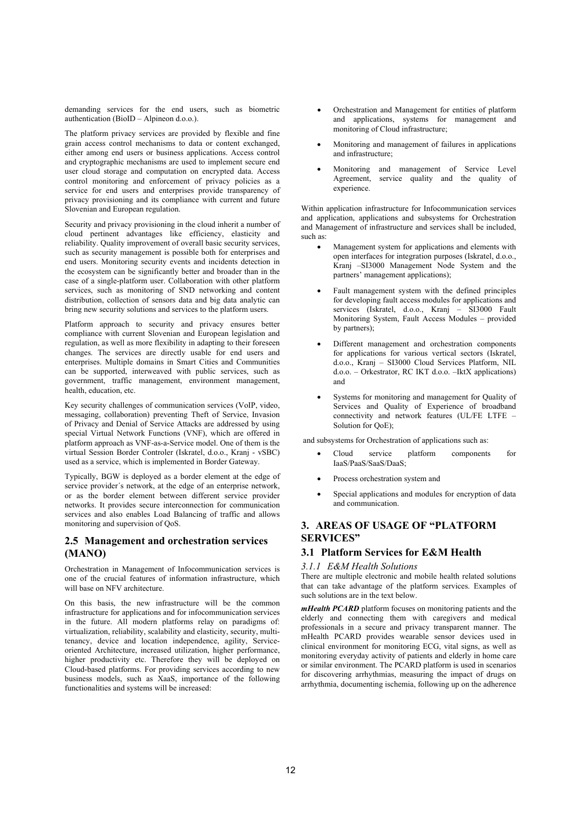demanding services for the end users, such as biometric authentication (BioID - Alpineon d.o.o.).

The platform privacy services are provided by flexible and fine grain access control mechanisms to data or content exchanged. either among end users or business applications. Access control and cryptographic mechanisms are used to implement secure end user cloud storage and computation on encrypted data. Access control monitoring and enforcement of privacy policies as a service for end users and enterprises provide transparency of privacy provisioning and its compliance with current and future Slovenian and European regulation.

Security and privacy provisioning in the cloud inherit a number of cloud pertinent advantages like efficiency, elasticity and reliability. Quality improvement of overall basic security services, such as security management is possible both for enterprises and end users. Monitoring security events and incidents detection in the ecosystem can be significantly better and broader than in the case of a single-platform user. Collaboration with other platform services, such as monitoring of SND networking and content  $distri$ bution, collection of sensors data and big data analytic can bring new security solutions and services to the platform users.

Platform approach to security and privacy ensures better compliance with current Slovenian and European legislation and regulation, as well as more flexibility in adapting to their foreseen changes. The services are directly usable for end users and enterprises. Multiple domains in Smart Cities and Communities can be supported, interweaved with public services, such as government, traffic management, environment management, health, education, etc.

Key security challenges of communication services (VoIP, video, messaging, collaboration) preventing Theft of Service, Invasion of Privacy and Denial of Service Attacks are addressed by using special Virtual Network Functions (VNF), which are offered in platform approach as VNF-as-a-Service model. One of them is the virtual Session Border Controler (Iskratel, d.o.o., Kranj - vSBC) used as a service, which is implemented in Border Gateway.

Typically, BGW is deployed as a border element at the edge of service provider's network, at the edge of an enterprise network, or as the border element between different service provider networks. It provides secure interconnection for communication services and also enables Load Balancing of traffic and allows monitoring and supervision of OoS.

## **2.5 Management and orchestration services (MANO)**

Orchestration in Management of Infocommunication services is one of the crucial features of information infrastructure, which will base on NFV architecture.

On this basis, the new infrastructure will be the common infrastructure for applications and for infocommunication services in the future. All modern platforms relay on paradigms of: virtualization, reliability, scalability and elasticity, security, multitenancy, device and location independence, agility, Serviceoriented Architecture, increased utilization, higher performance, higher productivity etc. Therefore they will be deployed on Cloud-based platforms. For providing services according to new business models, such as XaaS, importance of the following functionalities and systems will be increased:

- Orchestration and Management for entities of platform and applications, systems for management and monitoring of Cloud infrastructure;
- Monitoring and management of failures in applications and infrastructure;
- Monitoring and management of Service Level Agreement, service quality and the quality of experience.

Within application infrastructure for Infocommunication services and application, applications and subsystems for Orchestration and Management of infrastructure and services shall be included, such as:

- Management system for applications and elements with open interfaces for integration purposes (Iskratel, d.o.o., Kranj -SI3000 Management Node System and the partners' management applications);
- Fault management system with the defined principles for developing fault access modules for applications and services (Iskratel, d.o.o., Kranj – SI3000 Fault Monitoring System, Fault Access Modules  $-$  provided by partners);
- Different management and orchestration components for applications for various vertical sectors (Iskratel, d.o.o., Kranj - SI3000 Cloud Services Platform, NIL  $d.o.o. -$  Orkestrator, RC IKT  $d.o.o.$  -IktX applications) and
- Systems for monitoring and management for Quality of Services and Quality of Experience of broadband connectivity and network features (UL/FE LTFE  $-$ Solution for QoE);

and subsystems for Orchestration of applications such as:

- Cloud service platform components for IaaS/PaaS/SaaS/DaaS;
- Process orchestration system and
- Special applications and modules for encryption of data and communication.

## **3. AREAS OF USAGE OF "PLATFORM" SERVICES"**

## **3.1 Platform Services for E&M Health**

#### *3.1.1 E&M Health Solutions*

7here are multiple electronic and mobile health related solutions that can take advantage of the platform services. Examples of such solutions are in the text below.

*mHealth PCARD* platform focuses on monitoring patients and the elderly and connecting them with caregivers and medical professionals in a secure and privacy transparent manner. The mHealth PCARD provides wearable sensor devices used in clinical environment for monitoring ECG, vital signs, as well as monitoring everyday activity of patients and elderly in home care or similar environment. The PCARD platform is used in scenarios for discovering arrhythmias, measuring the impact of drugs on arrhythmia, documenting ischemia, following up on the adherence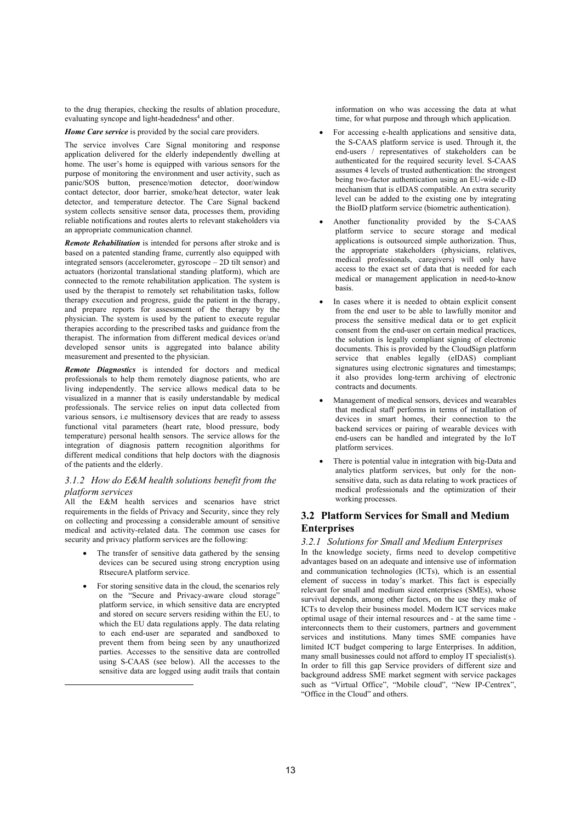to the drug therapies, checking the results of ablation procedure, evaluating syncope and light-headedness<sup>4</sup> and other.

*Home Care service* is provided by the social care providers.

The service involves Care Signal monitoring and response application delivered for the elderly independently dwelling at home. The user's home is equipped with various sensors for the purpose of monitoring the environment and user activity, such as panic/SOS button, presence/motion detector, door/window contact detector, door barrier, smoke/heat detector, water leak detector, and temperature detector. The Care Signal backend system collects sensitive sensor data, processes them, providing reliable notifications and routes alerts to relevant stakeholders via an appropriate communication channel.

*Remote Rehabilitation* is intended for persons after stroke and is based on a patented standing frame, currently also equipped with integrated sensors (accelerometer, gyroscope  $-$  2D tilt sensor) and actuators (horizontal translational standing platform), which are connected to the remote rehabilitation application. The system is used by the therapist to remotely set rehabilitation tasks, follow therapy execution and progress, guide the patient in the therapy, and prepare reports for assessment of the therapy by the physician. The system is used by the patient to execute regular therapies according to the prescribed tasks and guidance from the therapist. The information from different medical devices or/and developed sensor units is aggregated into balance ability measurement and presented to the physician.

*Remote Diagnostics* is intended for doctors and medical professionals to help them remotely diagnose patients, who are living independently. The service allows medical data to be visualized in a manner that is easily understandable by medical professionals. 7he service relies on input data collected from various sensors, i.e multisensory devices that are ready to assess functional vital parameters (heart rate, blood pressure, body temperature) personal health sensors. The service allows for the integration of diagnosis pattern recognition algorithms for different medical conditions that help doctors with the diagnosis of the patients and the elderl\.

## *3.1.2 How do E&M health solutions benefit from the platform services*

All the E&M health services and scenarios have strict  $requirements in the fields of Privacy and Security, since they rely$ on collecting and processing a considerable amount of sensitive medical and activity-related data. The common use cases for security and privacy platform services are the following:

- The transfer of sensitive data gathered by the sensing devices can be secured using strong encryption using RtsecureA platform service.
- For storing sensitive data in the cloud, the scenarios rely on the "Secure and Privacy-aware cloud storage" platform service, in which sensitive data are encrypted and stored on secure servers residing within the EU, to which the EU data regulations apply. The data relating to each end-user are separated and sandboxed to prevent them from being seen by any unauthorized parties. Accesses to the sensitive data are controlled using S-CAAS (see below). All the accesses to the sensitive data are logged using audit trails that contain

-

information on who was accessing the data at what time, for what purpose and through which application.

- For accessing e-health applications and sensitive data, the S-CAAS platform service is used. Through it, the end-users / representatives of stakeholders can be authenticated for the required security level. S-CAAS assumes 4 levels of trusted authentication: the strongest being two-factor authentication using an EU-wide e-ID mechanism that is eIDAS compatible. An extra security level can be added to the existing one by integrating the BioID platform service (biometric authentication).
- Another functionality provided by the S-CAAS platform service to secure storage and medical applications is outsourced simple authorization. 7hus, the appropriate stakeholders (physicians, relatives, medical professionals, caregivers) will only have access to the exact set of data that is needed for each medical or management application in need-to-know basis.
- In cases where it is needed to obtain explicit consent from the end user to be able to lawfully monitor and process the sensitive medical data or to get explicit consent from the end-user on certain medical practices, the solution is legally compliant signing of electronic documents. This is provided by the CloudSign platform service that enables legally (eIDAS) compliant signatures using electronic signatures and timestamps; it also provides long-term archiving of electronic contracts and documents.
- Management of medical sensors, devices and wearables that medical staff performs in terms of installation of devices in smart homes, their connection to the backend services or pairing of wearable devices with end-users can be handled and integrated by the IoT platform services.
- There is potential value in integration with big-Data and analytics platform services, but only for the nonsensitive data, such as data relating to work practices of medical professionals and the optimization of their working processes.

## **3.2 Platform Services for Small and Medium (nterprises**

*3.2.1 Solutions for Small and Medium Enterprises*  In the knowledge society, firms need to develop competitive advantages based on an adequate and intensive use of information and communication technologies (ICTs), which is an essential element of success in today's market. This fact is especially relevant for small and medium sized enterprises (SMEs), whose survival depends, among other factors, on the use they make of ICTs to develop their business model. Modern ICT services make optimal usage of their internal resources and - at the same time interconnects them to their customers, partners and government services and institutions. Many times SME companies have limited ICT budget compering to large Enterprises. In addition, many small businesses could not afford to employ  $IT$  specialist(s). In order to fill this gap Service providers of different size and background address SME market segment with service packages such as "Virtual Office", "Mobile cloud", "New IP-Centrex", "Office in the Cloud" and others.